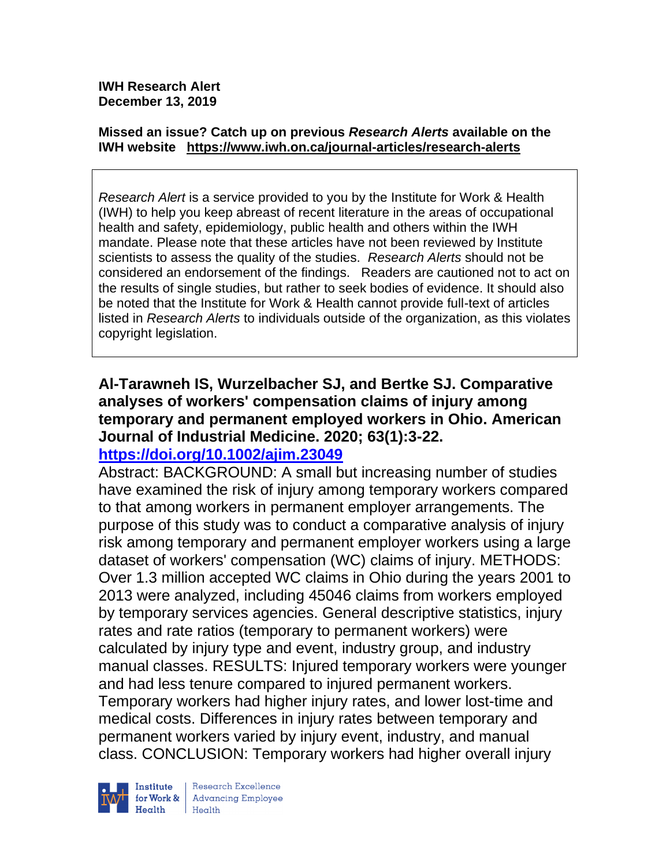**IWH Research Alert December 13, 2019**

#### **Missed an issue? Catch up on previous** *Research Alerts* **available on the [IWH website](http://www.iwh.on.ca/research-alerts) <https://www.iwh.on.ca/journal-articles/research-alerts>**

*Research Alert* is a service provided to you by the Institute for Work & Health (IWH) to help you keep abreast of recent literature in the areas of occupational health and safety, epidemiology, public health and others within the IWH mandate. Please note that these articles have not been reviewed by Institute scientists to assess the quality of the studies. *Research Alerts* should not be considered an endorsement of the findings. Readers are cautioned not to act on the results of single studies, but rather to seek bodies of evidence. It should also be noted that the Institute for Work & Health cannot provide full-text of articles listed in *Research Alerts* to individuals outside of the organization, as this violates copyright legislation.

# **Al-Tarawneh IS, Wurzelbacher SJ, and Bertke SJ. Comparative analyses of workers' compensation claims of injury among temporary and permanent employed workers in Ohio. American Journal of Industrial Medicine. 2020; 63(1):3-22.**

## **<https://doi.org/10.1002/ajim.23049>**

Abstract: BACKGROUND: A small but increasing number of studies have examined the risk of injury among temporary workers compared to that among workers in permanent employer arrangements. The purpose of this study was to conduct a comparative analysis of injury risk among temporary and permanent employer workers using a large dataset of workers' compensation (WC) claims of injury. METHODS: Over 1.3 million accepted WC claims in Ohio during the years 2001 to 2013 were analyzed, including 45046 claims from workers employed by temporary services agencies. General descriptive statistics, injury rates and rate ratios (temporary to permanent workers) were calculated by injury type and event, industry group, and industry manual classes. RESULTS: Injured temporary workers were younger and had less tenure compared to injured permanent workers. Temporary workers had higher injury rates, and lower lost-time and medical costs. Differences in injury rates between temporary and permanent workers varied by injury event, industry, and manual class. CONCLUSION: Temporary workers had higher overall injury

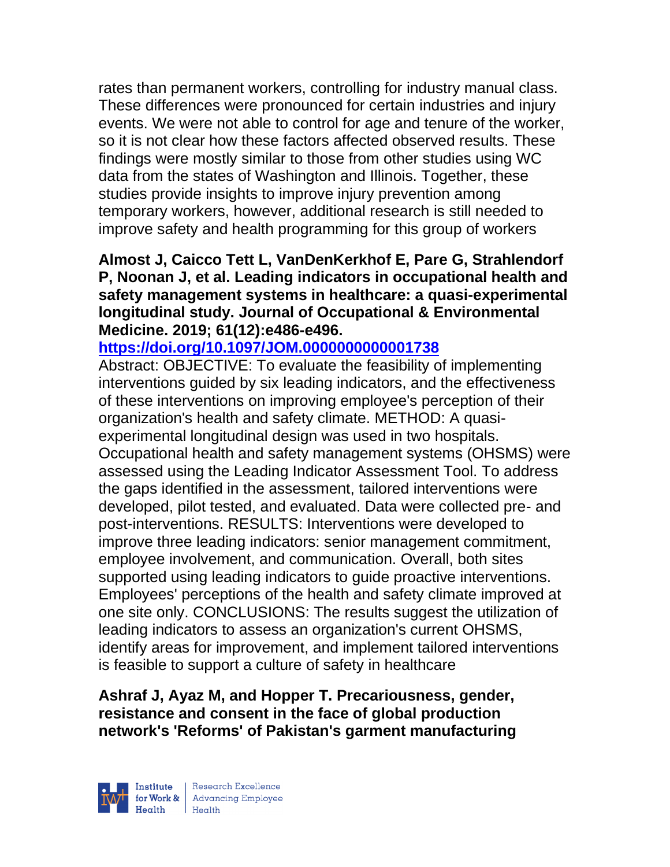rates than permanent workers, controlling for industry manual class. These differences were pronounced for certain industries and injury events. We were not able to control for age and tenure of the worker, so it is not clear how these factors affected observed results. These findings were mostly similar to those from other studies using WC data from the states of Washington and Illinois. Together, these studies provide insights to improve injury prevention among temporary workers, however, additional research is still needed to improve safety and health programming for this group of workers

## **Almost J, Caicco Tett L, VanDenKerkhof E, Pare G, Strahlendorf P, Noonan J, et al. Leading indicators in occupational health and safety management systems in healthcare: a quasi-experimental longitudinal study. Journal of Occupational & Environmental Medicine. 2019; 61(12):e486-e496.**

## **<https://doi.org/10.1097/JOM.0000000000001738>**

Abstract: OBJECTIVE: To evaluate the feasibility of implementing interventions guided by six leading indicators, and the effectiveness of these interventions on improving employee's perception of their organization's health and safety climate. METHOD: A quasiexperimental longitudinal design was used in two hospitals. Occupational health and safety management systems (OHSMS) were assessed using the Leading Indicator Assessment Tool. To address the gaps identified in the assessment, tailored interventions were developed, pilot tested, and evaluated. Data were collected pre- and post-interventions. RESULTS: Interventions were developed to improve three leading indicators: senior management commitment, employee involvement, and communication. Overall, both sites supported using leading indicators to guide proactive interventions. Employees' perceptions of the health and safety climate improved at one site only. CONCLUSIONS: The results suggest the utilization of leading indicators to assess an organization's current OHSMS, identify areas for improvement, and implement tailored interventions is feasible to support a culture of safety in healthcare

## **Ashraf J, Ayaz M, and Hopper T. Precariousness, gender, resistance and consent in the face of global production network's 'Reforms' of Pakistan's garment manufacturing**

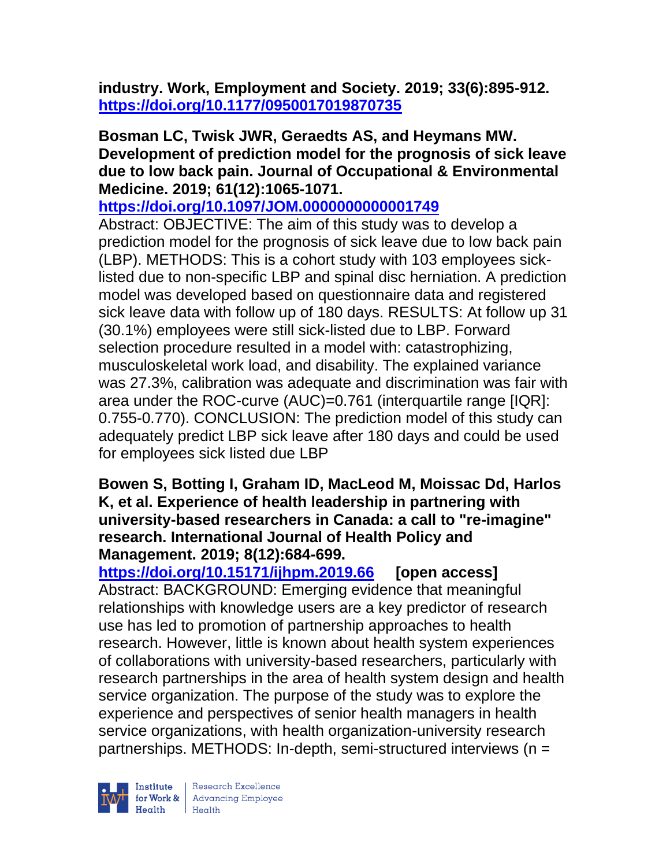**industry. Work, Employment and Society. 2019; 33(6):895-912. <https://doi.org/10.1177/0950017019870735>** 

**Bosman LC, Twisk JWR, Geraedts AS, and Heymans MW. Development of prediction model for the prognosis of sick leave due to low back pain. Journal of Occupational & Environmental Medicine. 2019; 61(12):1065-1071.** 

**<https://doi.org/10.1097/JOM.0000000000001749>** 

Abstract: OBJECTIVE: The aim of this study was to develop a prediction model for the prognosis of sick leave due to low back pain (LBP). METHODS: This is a cohort study with 103 employees sicklisted due to non-specific LBP and spinal disc herniation. A prediction model was developed based on questionnaire data and registered sick leave data with follow up of 180 days. RESULTS: At follow up 31 (30.1%) employees were still sick-listed due to LBP. Forward selection procedure resulted in a model with: catastrophizing, musculoskeletal work load, and disability. The explained variance was 27.3%, calibration was adequate and discrimination was fair with area under the ROC-curve (AUC)=0.761 (interquartile range [IQR]: 0.755-0.770). CONCLUSION: The prediction model of this study can adequately predict LBP sick leave after 180 days and could be used for employees sick listed due LBP

### **Bowen S, Botting I, Graham ID, MacLeod M, Moissac Dd, Harlos K, et al. Experience of health leadership in partnering with university-based researchers in Canada: a call to "re-imagine" research. International Journal of Health Policy and Management. 2019; 8(12):684-699.**

**<https://doi.org/10.15171/ijhpm.2019.66> [open access]** Abstract: BACKGROUND: Emerging evidence that meaningful relationships with knowledge users are a key predictor of research use has led to promotion of partnership approaches to health research. However, little is known about health system experiences of collaborations with university-based researchers, particularly with research partnerships in the area of health system design and health service organization. The purpose of the study was to explore the experience and perspectives of senior health managers in health service organizations, with health organization-university research partnerships. METHODS: In-depth, semi-structured interviews (n =



| Research Excellence **Example 18 Advancing Employee**<br> **Health** Health<br>
Health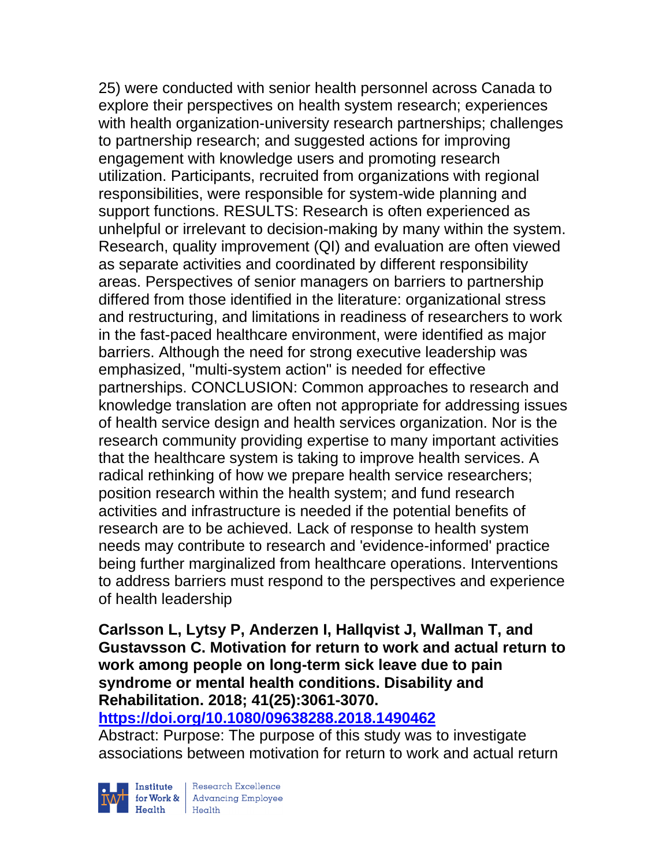25) were conducted with senior health personnel across Canada to explore their perspectives on health system research; experiences with health organization-university research partnerships; challenges to partnership research; and suggested actions for improving engagement with knowledge users and promoting research utilization. Participants, recruited from organizations with regional responsibilities, were responsible for system-wide planning and support functions. RESULTS: Research is often experienced as unhelpful or irrelevant to decision-making by many within the system. Research, quality improvement (QI) and evaluation are often viewed as separate activities and coordinated by different responsibility areas. Perspectives of senior managers on barriers to partnership differed from those identified in the literature: organizational stress and restructuring, and limitations in readiness of researchers to work in the fast-paced healthcare environment, were identified as major barriers. Although the need for strong executive leadership was emphasized, "multi-system action" is needed for effective partnerships. CONCLUSION: Common approaches to research and knowledge translation are often not appropriate for addressing issues of health service design and health services organization. Nor is the research community providing expertise to many important activities that the healthcare system is taking to improve health services. A radical rethinking of how we prepare health service researchers; position research within the health system; and fund research activities and infrastructure is needed if the potential benefits of research are to be achieved. Lack of response to health system needs may contribute to research and 'evidence-informed' practice being further marginalized from healthcare operations. Interventions to address barriers must respond to the perspectives and experience of health leadership

## **Carlsson L, Lytsy P, Anderzen I, Hallqvist J, Wallman T, and Gustavsson C. Motivation for return to work and actual return to work among people on long-term sick leave due to pain syndrome or mental health conditions. Disability and Rehabilitation. 2018; 41(25):3061-3070.**

## **<https://doi.org/10.1080/09638288.2018.1490462>**

Abstract: Purpose: The purpose of this study was to investigate associations between motivation for return to work and actual return



| Research Excellence Finantium Research Excellence<br>
Finantium Research Employee<br>
Realth Health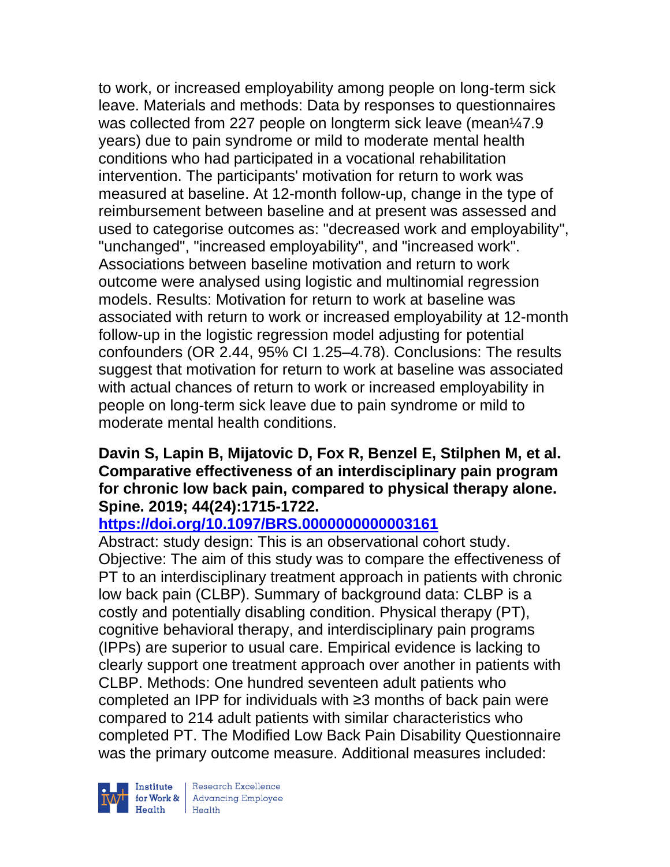to work, or increased employability among people on long-term sick leave. Materials and methods: Data by responses to questionnaires was collected from 227 people on longterm sick leave (mean¼7.9 years) due to pain syndrome or mild to moderate mental health conditions who had participated in a vocational rehabilitation intervention. The participants' motivation for return to work was measured at baseline. At 12-month follow-up, change in the type of reimbursement between baseline and at present was assessed and used to categorise outcomes as: "decreased work and employability", "unchanged", "increased employability", and "increased work". Associations between baseline motivation and return to work outcome were analysed using logistic and multinomial regression models. Results: Motivation for return to work at baseline was associated with return to work or increased employability at 12-month follow-up in the logistic regression model adjusting for potential confounders (OR 2.44, 95% CI 1.25–4.78). Conclusions: The results suggest that motivation for return to work at baseline was associated with actual chances of return to work or increased employability in people on long-term sick leave due to pain syndrome or mild to moderate mental health conditions.

## **Davin S, Lapin B, Mijatovic D, Fox R, Benzel E, Stilphen M, et al. Comparative effectiveness of an interdisciplinary pain program for chronic low back pain, compared to physical therapy alone. Spine. 2019; 44(24):1715-1722.**

## **<https://doi.org/10.1097/BRS.0000000000003161>**

Abstract: study design: This is an observational cohort study. Objective: The aim of this study was to compare the effectiveness of PT to an interdisciplinary treatment approach in patients with chronic low back pain (CLBP). Summary of background data: CLBP is a costly and potentially disabling condition. Physical therapy (PT), cognitive behavioral therapy, and interdisciplinary pain programs (IPPs) are superior to usual care. Empirical evidence is lacking to clearly support one treatment approach over another in patients with CLBP. Methods: One hundred seventeen adult patients who completed an IPP for individuals with ≥3 months of back pain were compared to 214 adult patients with similar characteristics who completed PT. The Modified Low Back Pain Disability Questionnaire was the primary outcome measure. Additional measures included:

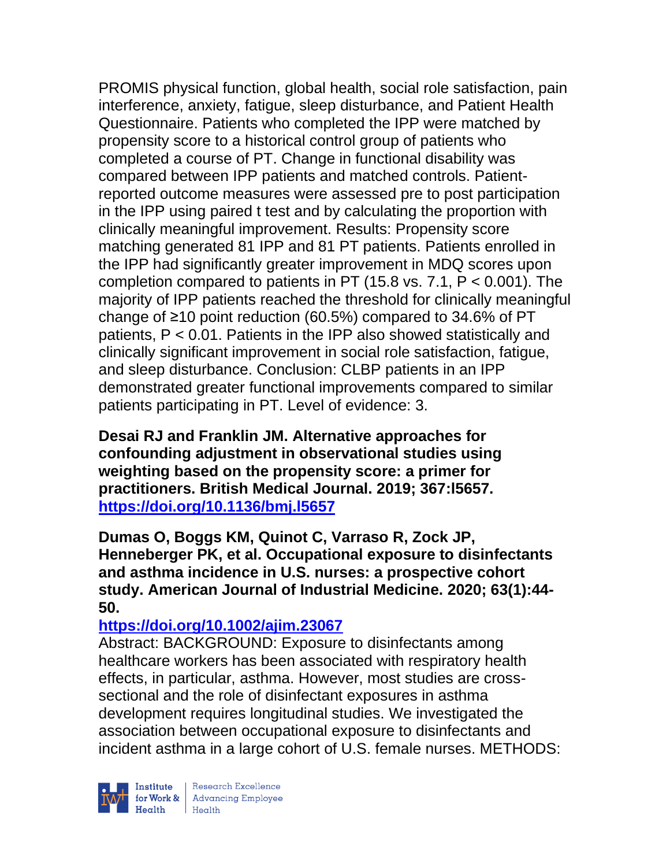PROMIS physical function, global health, social role satisfaction, pain interference, anxiety, fatigue, sleep disturbance, and Patient Health Questionnaire. Patients who completed the IPP were matched by propensity score to a historical control group of patients who completed a course of PT. Change in functional disability was compared between IPP patients and matched controls. Patientreported outcome measures were assessed pre to post participation in the IPP using paired t test and by calculating the proportion with clinically meaningful improvement. Results: Propensity score matching generated 81 IPP and 81 PT patients. Patients enrolled in the IPP had significantly greater improvement in MDQ scores upon completion compared to patients in PT (15.8 vs. 7.1, P < 0.001). The majority of IPP patients reached the threshold for clinically meaningful change of ≥10 point reduction (60.5%) compared to 34.6% of PT patients, P < 0.01. Patients in the IPP also showed statistically and clinically significant improvement in social role satisfaction, fatigue, and sleep disturbance. Conclusion: CLBP patients in an IPP demonstrated greater functional improvements compared to similar patients participating in PT. Level of evidence: 3.

**Desai RJ and Franklin JM. Alternative approaches for confounding adjustment in observational studies using weighting based on the propensity score: a primer for practitioners. British Medical Journal. 2019; 367:l5657. <https://doi.org/10.1136/bmj.l5657>** 

**Dumas O, Boggs KM, Quinot C, Varraso R, Zock JP, Henneberger PK, et al. Occupational exposure to disinfectants and asthma incidence in U.S. nurses: a prospective cohort study. American Journal of Industrial Medicine. 2020; 63(1):44- 50.** 

## **<https://doi.org/10.1002/ajim.23067>**

Abstract: BACKGROUND: Exposure to disinfectants among healthcare workers has been associated with respiratory health effects, in particular, asthma. However, most studies are crosssectional and the role of disinfectant exposures in asthma development requires longitudinal studies. We investigated the association between occupational exposure to disinfectants and incident asthma in a large cohort of U.S. female nurses. METHODS:

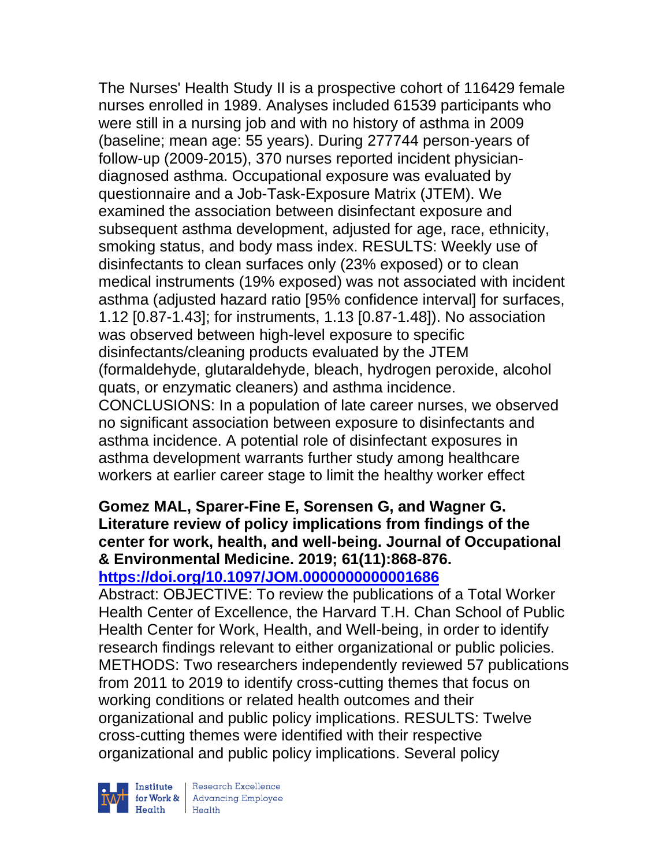The Nurses' Health Study II is a prospective cohort of 116429 female nurses enrolled in 1989. Analyses included 61539 participants who were still in a nursing job and with no history of asthma in 2009 (baseline; mean age: 55 years). During 277744 person-years of follow-up (2009-2015), 370 nurses reported incident physiciandiagnosed asthma. Occupational exposure was evaluated by questionnaire and a Job-Task-Exposure Matrix (JTEM). We examined the association between disinfectant exposure and subsequent asthma development, adjusted for age, race, ethnicity, smoking status, and body mass index. RESULTS: Weekly use of disinfectants to clean surfaces only (23% exposed) or to clean medical instruments (19% exposed) was not associated with incident asthma (adjusted hazard ratio [95% confidence interval] for surfaces, 1.12 [0.87-1.43]; for instruments, 1.13 [0.87-1.48]). No association was observed between high-level exposure to specific disinfectants/cleaning products evaluated by the JTEM (formaldehyde, glutaraldehyde, bleach, hydrogen peroxide, alcohol quats, or enzymatic cleaners) and asthma incidence. CONCLUSIONS: In a population of late career nurses, we observed no significant association between exposure to disinfectants and asthma incidence. A potential role of disinfectant exposures in asthma development warrants further study among healthcare workers at earlier career stage to limit the healthy worker effect

### **Gomez MAL, Sparer-Fine E, Sorensen G, and Wagner G. Literature review of policy implications from findings of the center for work, health, and well-being. Journal of Occupational & Environmental Medicine. 2019; 61(11):868-876. <https://doi.org/10.1097/JOM.0000000000001686>**

Abstract: OBJECTIVE: To review the publications of a Total Worker Health Center of Excellence, the Harvard T.H. Chan School of Public Health Center for Work, Health, and Well-being, in order to identify research findings relevant to either organizational or public policies. METHODS: Two researchers independently reviewed 57 publications from 2011 to 2019 to identify cross-cutting themes that focus on working conditions or related health outcomes and their organizational and public policy implications. RESULTS: Twelve cross-cutting themes were identified with their respective organizational and public policy implications. Several policy



 $\begin{tabular}{|l|} Institute & Research Excellence \\ \hline for Work & Advancing Employee \\ Health & Health \\ \end{tabular}$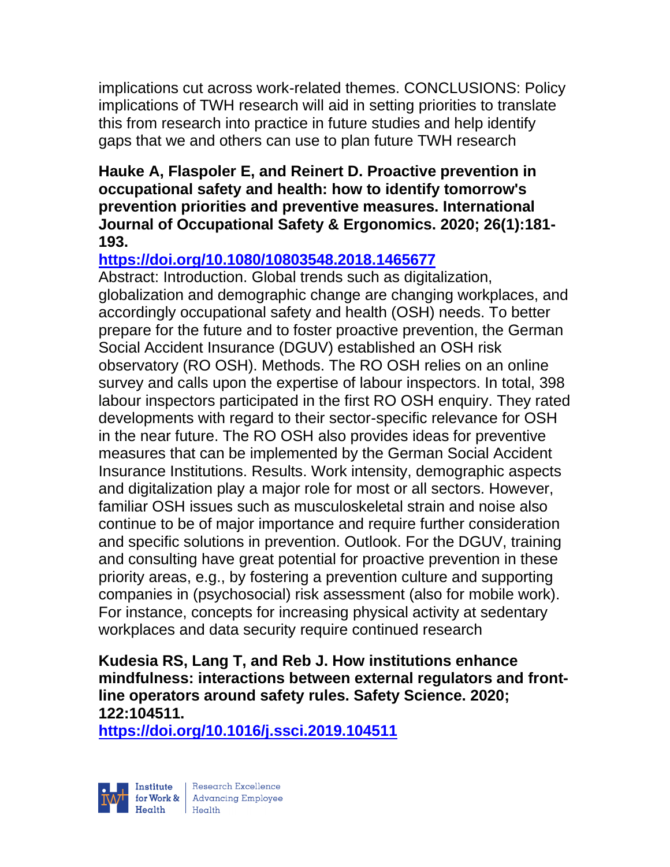implications cut across work-related themes. CONCLUSIONS: Policy implications of TWH research will aid in setting priorities to translate this from research into practice in future studies and help identify gaps that we and others can use to plan future TWH research

## **Hauke A, Flaspoler E, and Reinert D. Proactive prevention in occupational safety and health: how to identify tomorrow's prevention priorities and preventive measures. International Journal of Occupational Safety & Ergonomics. 2020; 26(1):181- 193.**

## **<https://doi.org/10.1080/10803548.2018.1465677>**

Abstract: Introduction. Global trends such as digitalization, globalization and demographic change are changing workplaces, and accordingly occupational safety and health (OSH) needs. To better prepare for the future and to foster proactive prevention, the German Social Accident Insurance (DGUV) established an OSH risk observatory (RO OSH). Methods. The RO OSH relies on an online survey and calls upon the expertise of labour inspectors. In total, 398 labour inspectors participated in the first RO OSH enquiry. They rated developments with regard to their sector-specific relevance for OSH in the near future. The RO OSH also provides ideas for preventive measures that can be implemented by the German Social Accident Insurance Institutions. Results. Work intensity, demographic aspects and digitalization play a major role for most or all sectors. However, familiar OSH issues such as musculoskeletal strain and noise also continue to be of major importance and require further consideration and specific solutions in prevention. Outlook. For the DGUV, training and consulting have great potential for proactive prevention in these priority areas, e.g., by fostering a prevention culture and supporting companies in (psychosocial) risk assessment (also for mobile work). For instance, concepts for increasing physical activity at sedentary workplaces and data security require continued research

**Kudesia RS, Lang T, and Reb J. How institutions enhance mindfulness: interactions between external regulators and frontline operators around safety rules. Safety Science. 2020; 122:104511.**

**<https://doi.org/10.1016/j.ssci.2019.104511>** 

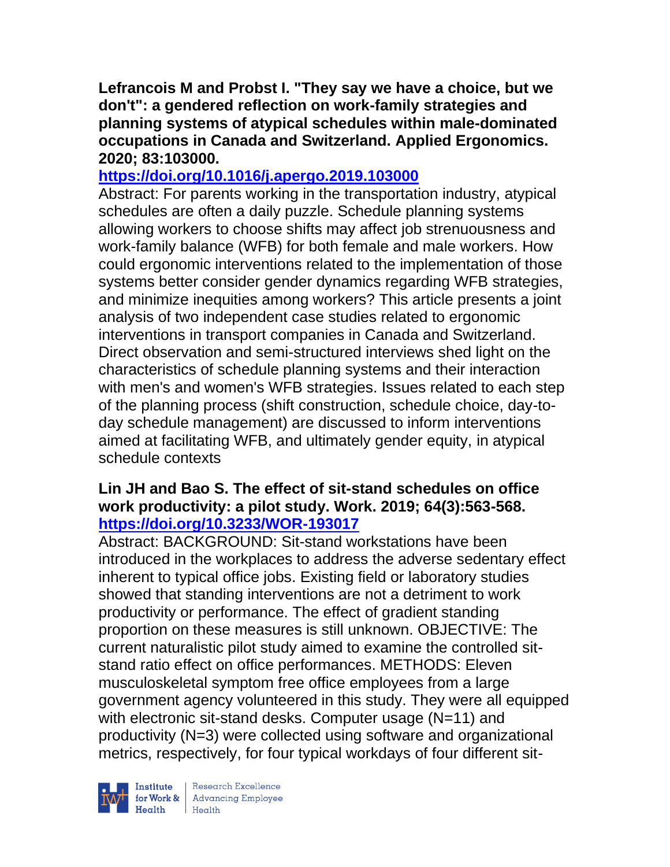**Lefrancois M and Probst I. "They say we have a choice, but we don't": a gendered reflection on work-family strategies and planning systems of atypical schedules within male-dominated occupations in Canada and Switzerland. Applied Ergonomics. 2020; 83:103000.**

## **<https://doi.org/10.1016/j.apergo.2019.103000>**

Abstract: For parents working in the transportation industry, atypical schedules are often a daily puzzle. Schedule planning systems allowing workers to choose shifts may affect job strenuousness and work-family balance (WFB) for both female and male workers. How could ergonomic interventions related to the implementation of those systems better consider gender dynamics regarding WFB strategies, and minimize inequities among workers? This article presents a joint analysis of two independent case studies related to ergonomic interventions in transport companies in Canada and Switzerland. Direct observation and semi-structured interviews shed light on the characteristics of schedule planning systems and their interaction with men's and women's WFB strategies. Issues related to each step of the planning process (shift construction, schedule choice, day-today schedule management) are discussed to inform interventions aimed at facilitating WFB, and ultimately gender equity, in atypical schedule contexts

### **Lin JH and Bao S. The effect of sit-stand schedules on office work productivity: a pilot study. Work. 2019; 64(3):563-568. <https://doi.org/10.3233/WOR-193017>**

Abstract: BACKGROUND: Sit-stand workstations have been introduced in the workplaces to address the adverse sedentary effect inherent to typical office jobs. Existing field or laboratory studies showed that standing interventions are not a detriment to work productivity or performance. The effect of gradient standing proportion on these measures is still unknown. OBJECTIVE: The current naturalistic pilot study aimed to examine the controlled sitstand ratio effect on office performances. METHODS: Eleven musculoskeletal symptom free office employees from a large government agency volunteered in this study. They were all equipped with electronic sit-stand desks. Computer usage (N=11) and productivity (N=3) were collected using software and organizational metrics, respectively, for four typical workdays of four different sit-



 $\begin{tabular}{|l|} Institute & Research Excellence \\ \hline for Work & Advancing Employee \\ Health & Health \\ \end{tabular}$ | Research Excellence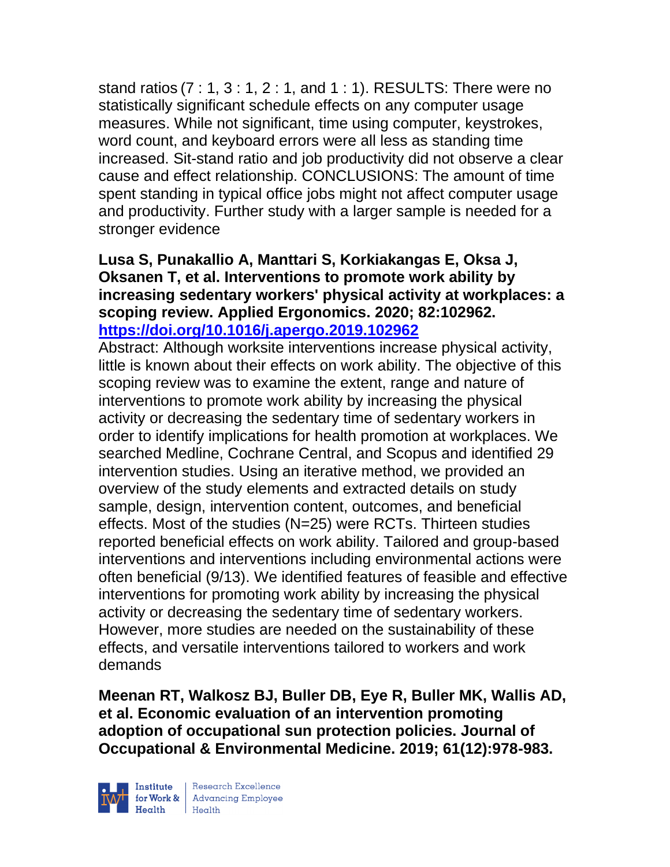stand ratios (7 : 1, 3 : 1, 2 : 1, and 1 : 1). RESULTS: There were no statistically significant schedule effects on any computer usage measures. While not significant, time using computer, keystrokes, word count, and keyboard errors were all less as standing time increased. Sit-stand ratio and job productivity did not observe a clear cause and effect relationship. CONCLUSIONS: The amount of time spent standing in typical office jobs might not affect computer usage and productivity. Further study with a larger sample is needed for a stronger evidence

### **Lusa S, Punakallio A, Manttari S, Korkiakangas E, Oksa J, Oksanen T, et al. Interventions to promote work ability by increasing sedentary workers' physical activity at workplaces: a scoping review. Applied Ergonomics. 2020; 82:102962. <https://doi.org/10.1016/j.apergo.2019.102962>**

Abstract: Although worksite interventions increase physical activity, little is known about their effects on work ability. The objective of this scoping review was to examine the extent, range and nature of interventions to promote work ability by increasing the physical activity or decreasing the sedentary time of sedentary workers in order to identify implications for health promotion at workplaces. We searched Medline, Cochrane Central, and Scopus and identified 29 intervention studies. Using an iterative method, we provided an overview of the study elements and extracted details on study sample, design, intervention content, outcomes, and beneficial effects. Most of the studies (N=25) were RCTs. Thirteen studies reported beneficial effects on work ability. Tailored and group-based interventions and interventions including environmental actions were often beneficial (9/13). We identified features of feasible and effective interventions for promoting work ability by increasing the physical activity or decreasing the sedentary time of sedentary workers. However, more studies are needed on the sustainability of these effects, and versatile interventions tailored to workers and work demands

**Meenan RT, Walkosz BJ, Buller DB, Eye R, Buller MK, Wallis AD, et al. Economic evaluation of an intervention promoting adoption of occupational sun protection policies. Journal of Occupational & Environmental Medicine. 2019; 61(12):978-983.** 

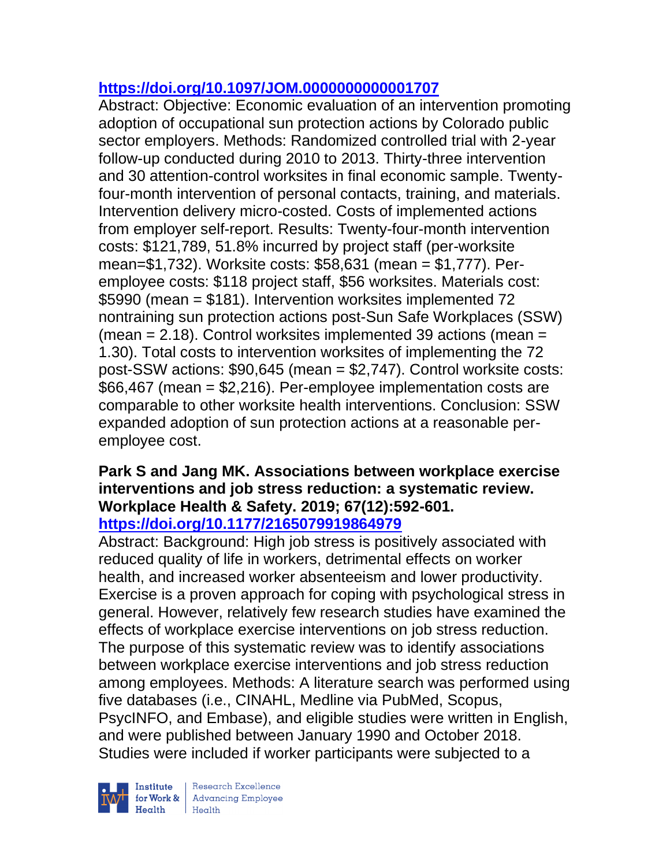## **<https://doi.org/10.1097/JOM.0000000000001707>**

Abstract: Objective: Economic evaluation of an intervention promoting adoption of occupational sun protection actions by Colorado public sector employers. Methods: Randomized controlled trial with 2-year follow-up conducted during 2010 to 2013. Thirty-three intervention and 30 attention-control worksites in final economic sample. Twentyfour-month intervention of personal contacts, training, and materials. Intervention delivery micro-costed. Costs of implemented actions from employer self-report. Results: Twenty-four-month intervention costs: \$121,789, 51.8% incurred by project staff (per-worksite mean=\$1,732). Worksite costs: \$58,631 (mean = \$1,777). Peremployee costs: \$118 project staff, \$56 worksites. Materials cost: \$5990 (mean = \$181). Intervention worksites implemented 72 nontraining sun protection actions post-Sun Safe Workplaces (SSW) (mean  $= 2.18$ ). Control worksites implemented 39 actions (mean  $=$ 1.30). Total costs to intervention worksites of implementing the 72 post-SSW actions: \$90,645 (mean = \$2,747). Control worksite costs: \$66,467 (mean = \$2,216). Per-employee implementation costs are comparable to other worksite health interventions. Conclusion: SSW expanded adoption of sun protection actions at a reasonable peremployee cost.

#### **Park S and Jang MK. Associations between workplace exercise interventions and job stress reduction: a systematic review. Workplace Health & Safety. 2019; 67(12):592-601. <https://doi.org/10.1177/2165079919864979>**

Abstract: Background: High job stress is positively associated with reduced quality of life in workers, detrimental effects on worker health, and increased worker absenteeism and lower productivity. Exercise is a proven approach for coping with psychological stress in general. However, relatively few research studies have examined the effects of workplace exercise interventions on job stress reduction. The purpose of this systematic review was to identify associations between workplace exercise interventions and job stress reduction among employees. Methods: A literature search was performed using five databases (i.e., CINAHL, Medline via PubMed, Scopus, PsycINFO, and Embase), and eligible studies were written in English, and were published between January 1990 and October 2018. Studies were included if worker participants were subjected to a

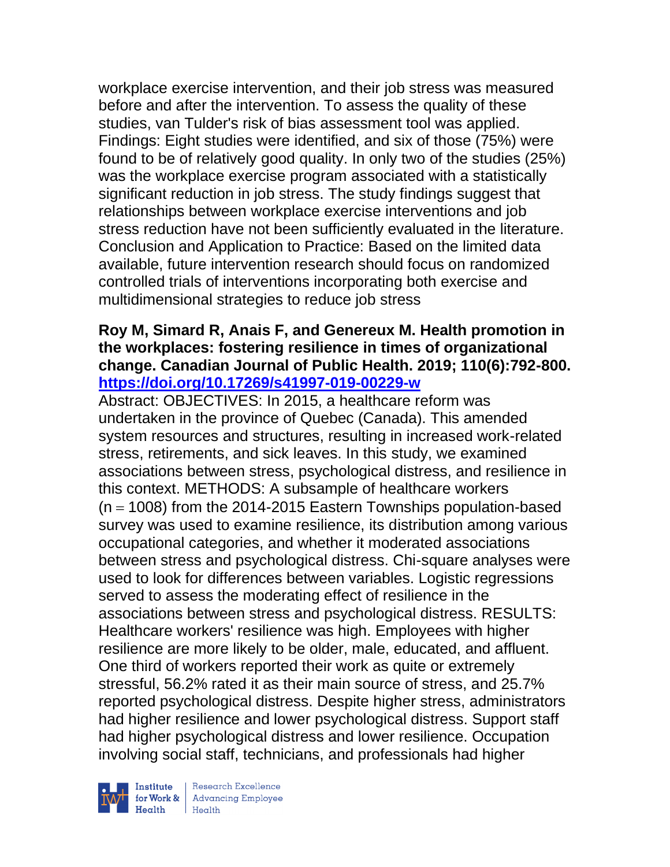workplace exercise intervention, and their job stress was measured before and after the intervention. To assess the quality of these studies, van Tulder's risk of bias assessment tool was applied. Findings: Eight studies were identified, and six of those (75%) were found to be of relatively good quality. In only two of the studies (25%) was the workplace exercise program associated with a statistically significant reduction in job stress. The study findings suggest that relationships between workplace exercise interventions and job stress reduction have not been sufficiently evaluated in the literature. Conclusion and Application to Practice: Based on the limited data available, future intervention research should focus on randomized controlled trials of interventions incorporating both exercise and multidimensional strategies to reduce job stress

## **Roy M, Simard R, Anais F, and Genereux M. Health promotion in the workplaces: fostering resilience in times of organizational change. Canadian Journal of Public Health. 2019; 110(6):792-800. <https://doi.org/10.17269/s41997-019-00229-w>**

Abstract: OBJECTIVES: In 2015, a healthcare reform was undertaken in the province of Quebec (Canada). This amended system resources and structures, resulting in increased work-related stress, retirements, and sick leaves. In this study, we examined associations between stress, psychological distress, and resilience in this context. METHODS: A subsample of healthcare workers  $(n = 1008)$  from the 2014-2015 Eastern Townships population-based survey was used to examine resilience, its distribution among various occupational categories, and whether it moderated associations between stress and psychological distress. Chi-square analyses were used to look for differences between variables. Logistic regressions served to assess the moderating effect of resilience in the associations between stress and psychological distress. RESULTS: Healthcare workers' resilience was high. Employees with higher resilience are more likely to be older, male, educated, and affluent. One third of workers reported their work as quite or extremely stressful, 56.2% rated it as their main source of stress, and 25.7% reported psychological distress. Despite higher stress, administrators had higher resilience and lower psychological distress. Support staff had higher psychological distress and lower resilience. Occupation involving social staff, technicians, and professionals had higher

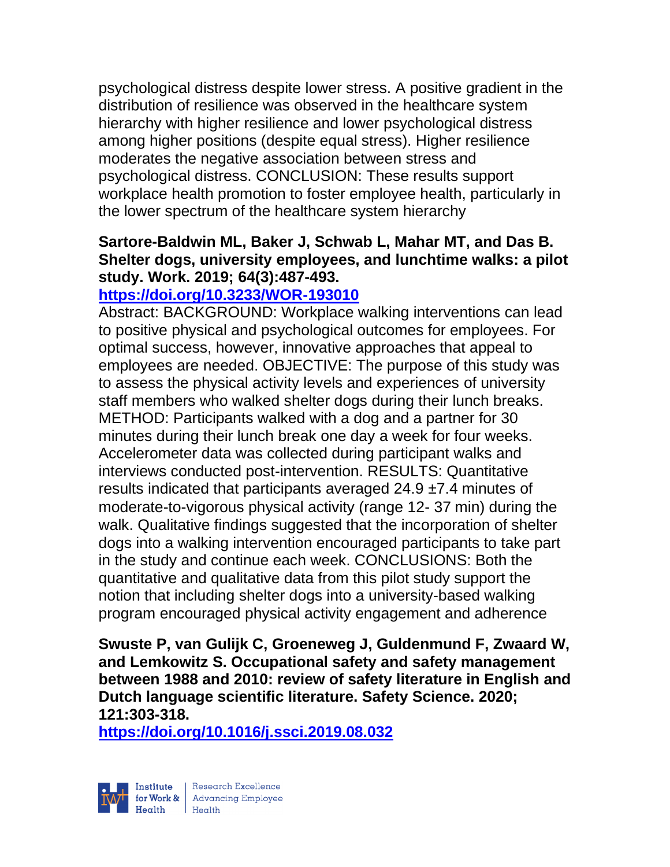psychological distress despite lower stress. A positive gradient in the distribution of resilience was observed in the healthcare system hierarchy with higher resilience and lower psychological distress among higher positions (despite equal stress). Higher resilience moderates the negative association between stress and psychological distress. CONCLUSION: These results support workplace health promotion to foster employee health, particularly in the lower spectrum of the healthcare system hierarchy

## **Sartore-Baldwin ML, Baker J, Schwab L, Mahar MT, and Das B. Shelter dogs, university employees, and lunchtime walks: a pilot study. Work. 2019; 64(3):487-493.**

## **<https://doi.org/10.3233/WOR-193010>**

Abstract: BACKGROUND: Workplace walking interventions can lead to positive physical and psychological outcomes for employees. For optimal success, however, innovative approaches that appeal to employees are needed. OBJECTIVE: The purpose of this study was to assess the physical activity levels and experiences of university staff members who walked shelter dogs during their lunch breaks. METHOD: Participants walked with a dog and a partner for 30 minutes during their lunch break one day a week for four weeks. Accelerometer data was collected during participant walks and interviews conducted post-intervention. RESULTS: Quantitative results indicated that participants averaged  $24.9 \pm 7.4$  minutes of moderate-to-vigorous physical activity (range 12- 37 min) during the walk. Qualitative findings suggested that the incorporation of shelter dogs into a walking intervention encouraged participants to take part in the study and continue each week. CONCLUSIONS: Both the quantitative and qualitative data from this pilot study support the notion that including shelter dogs into a university-based walking program encouraged physical activity engagement and adherence

**Swuste P, van Gulijk C, Groeneweg J, Guldenmund F, Zwaard W, and Lemkowitz S. Occupational safety and safety management between 1988 and 2010: review of safety literature in English and Dutch language scientific literature. Safety Science. 2020; 121:303-318.** 

**<https://doi.org/10.1016/j.ssci.2019.08.032>** 

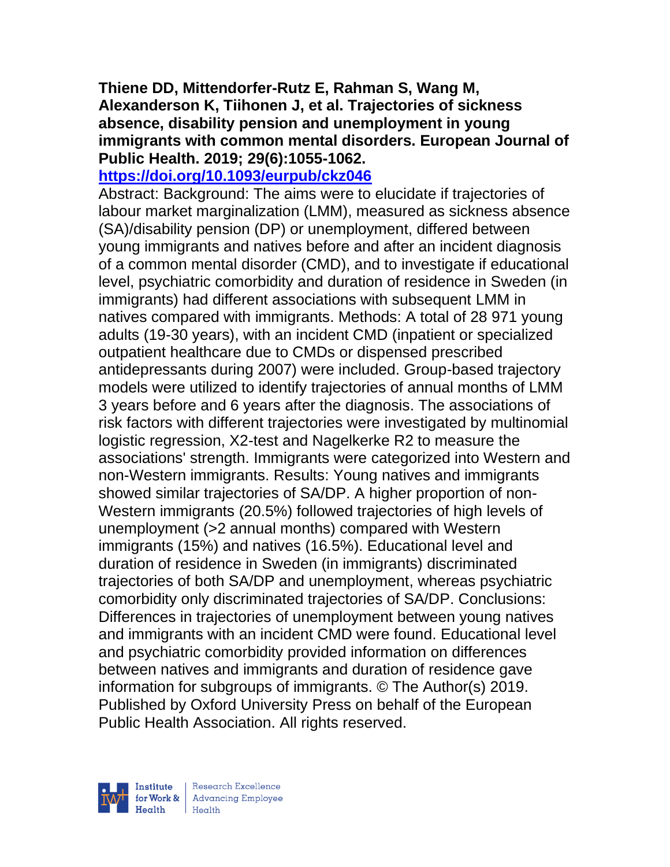## **Thiene DD, Mittendorfer-Rutz E, Rahman S, Wang M, Alexanderson K, Tiihonen J, et al. Trajectories of sickness absence, disability pension and unemployment in young immigrants with common mental disorders. European Journal of Public Health. 2019; 29(6):1055-1062.**

#### **<https://doi.org/10.1093/eurpub/ckz046>**

Abstract: Background: The aims were to elucidate if trajectories of labour market marginalization (LMM), measured as sickness absence (SA)/disability pension (DP) or unemployment, differed between young immigrants and natives before and after an incident diagnosis of a common mental disorder (CMD), and to investigate if educational level, psychiatric comorbidity and duration of residence in Sweden (in immigrants) had different associations with subsequent LMM in natives compared with immigrants. Methods: A total of 28 971 young adults (19-30 years), with an incident CMD (inpatient or specialized outpatient healthcare due to CMDs or dispensed prescribed antidepressants during 2007) were included. Group-based trajectory models were utilized to identify trajectories of annual months of LMM 3 years before and 6 years after the diagnosis. The associations of risk factors with different trajectories were investigated by multinomial logistic regression, X2-test and Nagelkerke R2 to measure the associations' strength. Immigrants were categorized into Western and non-Western immigrants. Results: Young natives and immigrants showed similar trajectories of SA/DP. A higher proportion of non-Western immigrants (20.5%) followed trajectories of high levels of unemployment (>2 annual months) compared with Western immigrants (15%) and natives (16.5%). Educational level and duration of residence in Sweden (in immigrants) discriminated trajectories of both SA/DP and unemployment, whereas psychiatric comorbidity only discriminated trajectories of SA/DP. Conclusions: Differences in trajectories of unemployment between young natives and immigrants with an incident CMD were found. Educational level and psychiatric comorbidity provided information on differences between natives and immigrants and duration of residence gave information for subgroups of immigrants. © The Author(s) 2019. Published by Oxford University Press on behalf of the European Public Health Association. All rights reserved.